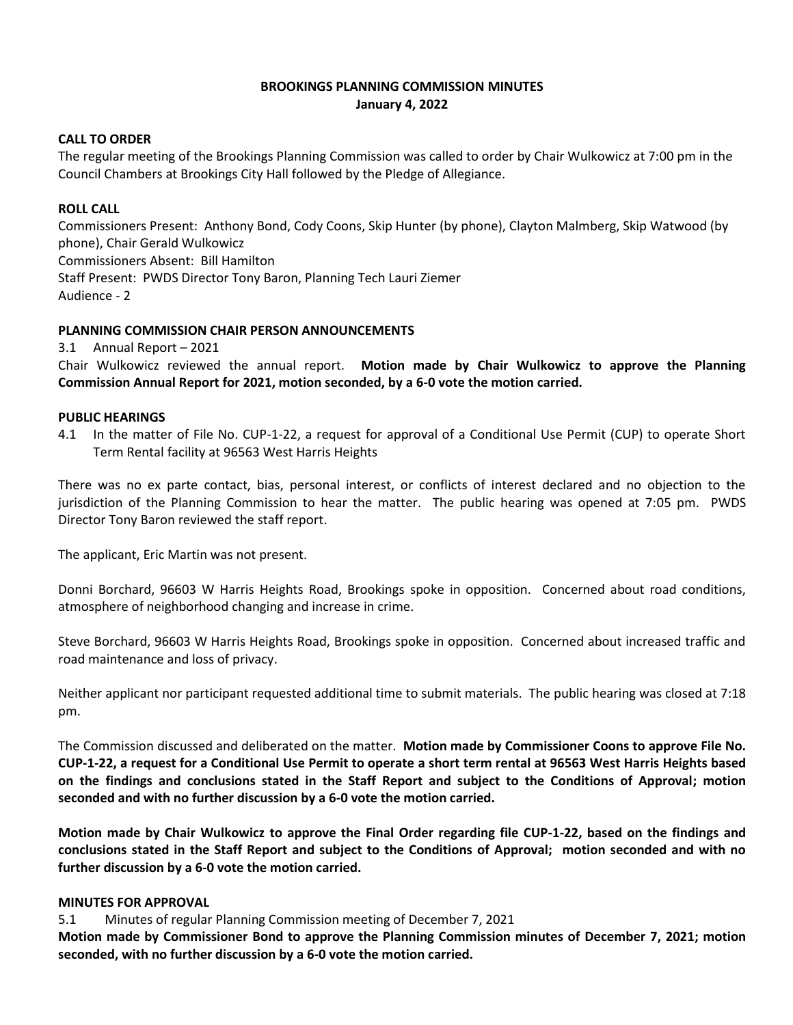# **BROOKINGS PLANNING COMMISSION MINUTES January 4, 2022**

### **CALL TO ORDER**

The regular meeting of the Brookings Planning Commission was called to order by Chair Wulkowicz at 7:00 pm in the Council Chambers at Brookings City Hall followed by the Pledge of Allegiance.

### **ROLL CALL**

Commissioners Present: Anthony Bond, Cody Coons, Skip Hunter (by phone), Clayton Malmberg, Skip Watwood (by phone), Chair Gerald Wulkowicz Commissioners Absent: Bill Hamilton Staff Present: PWDS Director Tony Baron, Planning Tech Lauri Ziemer Audience - 2

# **PLANNING COMMISSION CHAIR PERSON ANNOUNCEMENTS**

3.1 Annual Report – 2021

Chair Wulkowicz reviewed the annual report. **Motion made by Chair Wulkowicz to approve the Planning Commission Annual Report for 2021, motion seconded, by a 6-0 vote the motion carried.**

### **PUBLIC HEARINGS**

4.1 In the matter of File No. CUP-1-22, a request for approval of a Conditional Use Permit (CUP) to operate Short Term Rental facility at 96563 West Harris Heights

There was no ex parte contact, bias, personal interest, or conflicts of interest declared and no objection to the jurisdiction of the Planning Commission to hear the matter. The public hearing was opened at 7:05 pm. PWDS Director Tony Baron reviewed the staff report.

The applicant, Eric Martin was not present.

Donni Borchard, 96603 W Harris Heights Road, Brookings spoke in opposition. Concerned about road conditions, atmosphere of neighborhood changing and increase in crime.

Steve Borchard, 96603 W Harris Heights Road, Brookings spoke in opposition. Concerned about increased traffic and road maintenance and loss of privacy.

Neither applicant nor participant requested additional time to submit materials. The public hearing was closed at 7:18 pm.

The Commission discussed and deliberated on the matter. **Motion made by Commissioner Coons to approve File No. CUP-1-22, a request for a Conditional Use Permit to operate a short term rental at 96563 West Harris Heights based on the findings and conclusions stated in the Staff Report and subject to the Conditions of Approval; motion seconded and with no further discussion by a 6-0 vote the motion carried.**

**Motion made by Chair Wulkowicz to approve the Final Order regarding file CUP-1-22, based on the findings and conclusions stated in the Staff Report and subject to the Conditions of Approval; motion seconded and with no further discussion by a 6-0 vote the motion carried.**

### **MINUTES FOR APPROVAL**

5.1 Minutes of regular Planning Commission meeting of December 7, 2021

**Motion made by Commissioner Bond to approve the Planning Commission minutes of December 7, 2021; motion seconded, with no further discussion by a 6-0 vote the motion carried.**